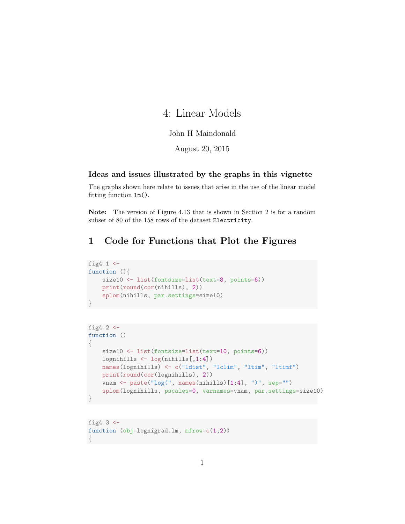# 4: Linear Models

### John H Maindonald

August 20, 2015

#### Ideas and issues illustrated by the graphs in this vignette

The graphs shown here relate to issues that arise in the use of the linear model fitting function lm().

Note: The version of Figure 4.13 that is shown in Section 2 is for a random subset of 80 of the 158 rows of the dataset Electricity.

## 1 Code for Functions that Plot the Figures

```
fig4.1 \leftarrowfunction (){
    size10 <- list(fontsize=list(text=8, points=6))
    print(round(cor(nihills), 2))
    splom(nihills, par.settings=size10)
}
```

```
fig4.2 <-
function ()
{
   size10 <- list(fontsize=list(text=10, points=6))
   lognihills <- log(nihills[,1:4])
   names(lognihills) <- c("ldist", "lclim", "ltim", "ltimf")
   print(round(cor(lognihills), 2))
   vnam <- paste("log(", names(nihills)[1:4], ")", sep="")
    splom(lognihills, pscales=0, varnames=vnam, par.settings=size10)
}
```
fig $4.3$   $\leftarrow$ function (obj=lognigrad.lm, mfrow=c(1,2)) {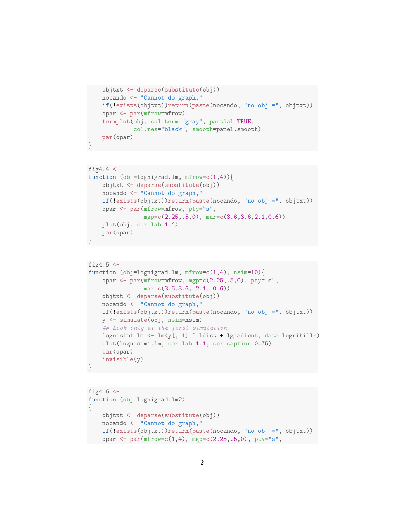```
objtxt <- deparse(substitute(obj))
nocando <- "Cannot do graph,"
if(!exists(objtxt))return(paste(nocando, "no obj =", objtxt))
opar <- par(mfrow=mfrow)
termplot(obj, col.term="gray", partial=TRUE,
         col.res="black", smooth=panel.smooth)
par(opar)
```
}

```
fig4.4 \leftarrowfunction (obj=lognigrad.lm, mfrow=c(1,4)){
    objtxt <- deparse(substitute(obj))
    nocando <- "Cannot do graph,"
    if(!exists(objtxt))return(paste(nocando, "no obj =", objtxt))
    opar <- par(mfrow=mfrow, pty="s",
                mgp=c(2.25,.5,0), mar=c(3.6,3.6,2.1,0.6))
    plot(obj, cex.lab=1.4)
    par(opar)
}
```

```
fig4.5 < -function (obj=lognigrad.lm, mfrow=c(1,4), nsim=10)opar <- par(mfrow=mfrow, mgp=c(2.25,.5,0), pty="s",
               mar=c(3.6, 3.6, 2.1, 0.6))objtxt <- deparse(substitute(obj))
   nocando <- "Cannot do graph,"
   if(!exists(objtxt))return(paste(nocando, "no obj =", objtxt))
   y <- simulate(obj, nsim=nsim)
    ## Look only at the first simulation
   \verb|lognism1.lm<-lm(y[, 1] "ldist + lgradient, data=lognihills)|plot(lognisim1.lm, cex.lab=1.1, cex.caption=0.75)
   par(opar)
   invisible(y)
}
```

```
fig4.6 < -function (obj=lognigrad.lm2)
{
   objtxt <- deparse(substitute(obj))
   nocando <- "Cannot do graph,"
   if(!exists(objtxt))return(paste(nocando, "no obj =", objtxt))
   opar <- par(mfrow=c(1,4), mgp=c(2.25,.5,0), pty="s",
```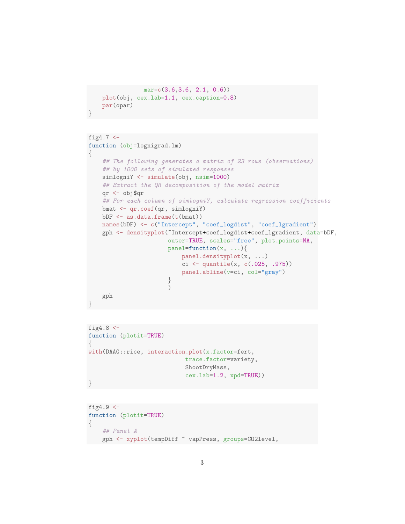```
mar=c(3.6,3.6, 2.1, 0.6))
plot(obj, cex.lab=1.1, cex.caption=0.8)
par(opar)
```
}

```
fig4.7 < -function (obj=lognigrad.lm)
{
    ## The following generates a matrix of 23 rows (observations)
   ## by 1000 sets of simulated responses
   simlogniY <- simulate(obj, nsim=1000)
   ## Extract the QR decomposition of the model matrix
   qr <- obj$qr
   ## For each column of simlogniY, calculate regression coefficients
   bmat <- qr.coef(qr, simlogniY)
   bDF \leq as.data.frame(t(bmat))
   names(bDF) <- c("Intercept", "coef_logdist", "coef_lgradient")
   gph <- densityplot(~Intercept+coef_logdist+coef_lgradient, data=bDF,
                       outer=TRUE, scales="free", plot.points=NA,
                       panel = function(x, ...)panel.densityplot(x, ...)
                           ci <- quantile(x, c(.025, .975))
                           panel.abline(v=ci, col="gray")
                       }
                       )
    gph
}
```

```
fig4.8 < -function (plotit=TRUE)
{
with(DAAG::rice, interaction.plot(x.factor=fert,
                             trace.factor=variety,
                             ShootDryMass,
                             cex.lab=1.2, xpd=TRUE))
}
```

```
fig4.9 \leftarrowfunction (plotit=TRUE)
\left\{ \right.## Panel A
    gph <- xyplot(tempDiff ~ vapPress, groups=CO2level,
```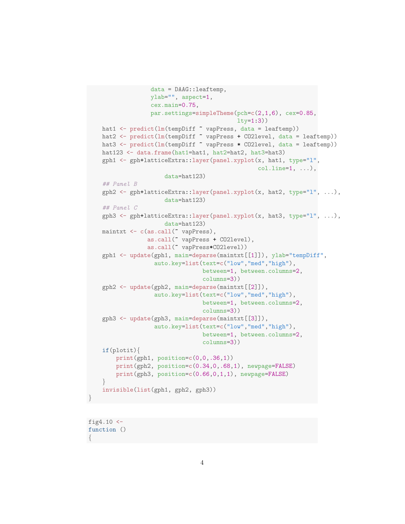```
data = DAAG::leaftemp,
              ylab="", aspect=1,
              cex.main=0.75,
              par.settings=simpleTheme(pch=c(2,1,6), cex=0.85,
                                       lty=1:3))
hat1 <- predict(lm(tempDiff ~ vapPress, data = leaftemp))
hat2 <- predict(lm(tempDiff ~ vapPress + CO2level, data = leaftemp))
hat3 <- predict(lm(tempDiff ~ vapPress * CO2level, data = leaftemp))
hat123 <- data.frame(hat1=hat1, hat2=hat2, hat3=hat3)
gph1 <- gph+latticeExtra::layer(panel.xyplot(x, hat1, type="l",
                                              col.line=1, ...),
                  data=hat123)
## Panel B
gph2 \leq gph+1atticeExtra::layer(panel.xyplot(x, hat2, type="1", ...),
                  data=hat123)
## Panel C
gph3 <- gph+latticeExtra::layer(panel.xyplot(x, hat3, type="1", ...),
                  data=hat123)
maintxt <- c(as.call(" vapPress),
             as.call(~ vapPress + CO2level),
             as.call(~ vapPress*CO2level))
gph1 <- update(gph1, main=deparse(maintxt[[1]]), ylab="tempDiff",
               auto.key=list(text=c("low","med","high"),
                             between=1, between.columns=2,
                             columns=3))
gph2 <- update(gph2, main=deparse(maintxt[[2]]),
               auto.key=list(text=c("low","med","high"),
                             between=1, between.columns=2,
                             columns=3))
gph3 <- update(gph3, main=deparse(maintxt[[3]]),
               auto.key=list(text=c("low","med","high"),
                             between=1, between.columns=2,
                             columns=3))
if(plotit){
    print(gph1, position=c(0,0,.36,1))
    print(gph2, position=c(0.34,0,.68,1), newpage=FALSE)
    print(gph3, position=c(0.66,0,1,1), newpage=FALSE)
}
invisible(list(gph1, gph2, gph3))
```

```
fig4.10 <-
function ()
{
```
}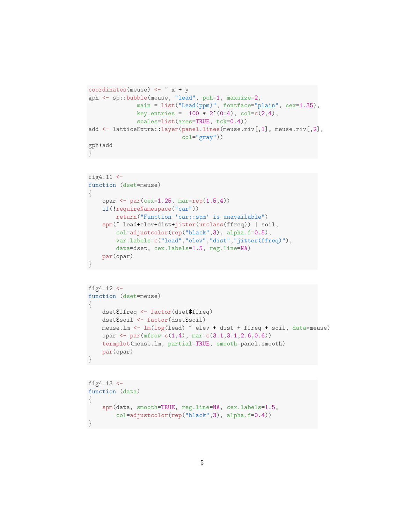```
coordinates(meuse) <- x + ygph <- sp::bubble(meuse, "lead", pch=1, maxsize=2,
             main = list("Lead(ppm)", fontface="plain", cex=1.35),
             key.entries = 100 * 2^(0:4), col=c(2,4),
              scales=list(axes=TRUE, tck=0.4))
add <- latticeExtra::layer(panel.lines(meuse.riv[,1], meuse.riv[,2],
                           col="gray"))
gph+add
}
```

```
fig4.11 \leftarrowfunction (dset=meuse)
{
    opar \leftarrow par(cex=1.25, mar=rep(1.5,4))
    if(!requireNamespace("car"))
        return("Function 'car::spm' is unavailable")
    spm(~ lead+elev+dist+jitter(unclass(ffreq)) | soil,
        col=adjustcolor(rep("black",3), alpha.f=0.5),
        var.labels=c("lead","elev","dist","jitter(ffreq)"),
        data=dset, cex.labels=1.5, reg.line=NA)
    par(opar)
}
```

```
fig4.12 < -function (dset=meuse)
{
   dset$ffreq <- factor(dset$ffreq)
   dset$soil <- factor(dset$soil)
   meuse.lm <- lm(log(lead) ~ elev + dist + ffreq + soil, data=meuse)
   opar <- par(mfrow=c(1,4), mar=c(3.1,3.1,2.6,0.6))
   termplot(meuse.lm, partial=TRUE, smooth=panel.smooth)
    par(opar)
}
```

```
fig4.13 <-
function (data)
{
    spm(data, smooth=TRUE, reg.line=NA, cex.labels=1.5,
        col=adjustcolor(rep("black",3), alpha.f=0.4))
}
```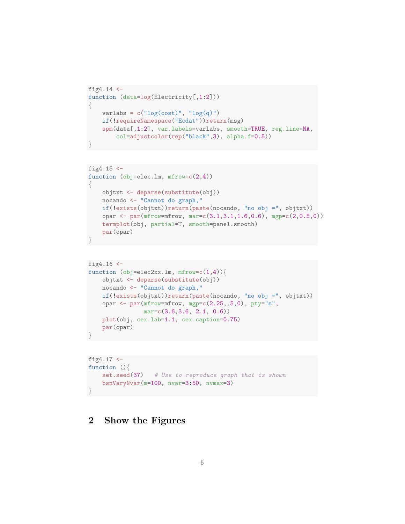```
fig4.14 <-
function (data=log(Electricity[,1:2]))
{
   varlabs = c("log(cost)", "log(q)")if(!requireNamespace("Ecdat"))return(msg)
   spm(data[,1:2], var.labels=varlabs, smooth=TRUE, reg.line=NA,
        col=adjustcolor(rep("black",3), alpha.f=0.5))
}
```

```
fig4.15 <-
function (obj=elec.lm, mfrow=c(2,4))
{
   objtxt <- deparse(substitute(obj))
   nocando <- "Cannot do graph,"
   if(!exists(objtxt))return(paste(nocando, "no obj =", objtxt))
   opar <- par(mfrow=mfrow, mar=c(3.1,3.1,1.6,0.6), mgp=c(2,0.5,0))
   termplot(obj, partial=T, smooth=panel.smooth)
   par(opar)
}
```

```
fig4.16 < -function (obj=elec2xx.lm, mfrow=c(1,4))objtxt <- deparse(substitute(obj))
   nocando <- "Cannot do graph,"
   if(!exists(objtxt))return(paste(nocando, "no obj =", objtxt))
   opar <- par(mfrow=mfrow, mgp=c(2.25,.5,0), pty="s",
               mar=c(3.6,3.6, 2.1, 0.6))
   plot(obj, cex.lab=1.1, cex.caption=0.75)
   par(opar)
}
```

```
fig4.17 < -function (){
   set.seed(37) # Use to reproduce graph that is shown
   bsnVaryNvar(m=100, nvar=3:50, nvmax=3)
}
```
### 2 Show the Figures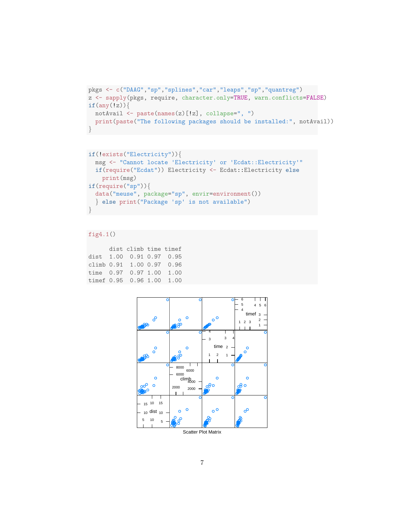```
pkgs <- c("DAAG","sp","splines","car","leaps","sp","quantreg")
z <- sapply(pkgs, require, character.only=TRUE, warn.conflicts=FALSE)
if(any(Iz))notAvail <- paste(names(z)[!z], collapse=", ")
 print(paste("The following packages should be installed:", notAvail))
}
```

```
if(!exists("Electricity")){
  msg <- "Cannot locate 'Electricity' or 'Ecdat::Electricity'"
  if(require("Ecdat")) Electricity <- Ecdat::Electricity else
    print(msg)
if(require("sp")){
  data("meuse", package="sp", envir=environment())
  } else print("Package 'sp' is not available")
}
```
#### fig4.1()

```
dist climb time timef
dist 1.00 0.91 0.97 0.95
climb 0.91 1.00 0.97 0.96
time 0.97 0.97 1.00 1.00
timef 0.95 0.96 1.00 1.00
```


Scatter Plot Matrix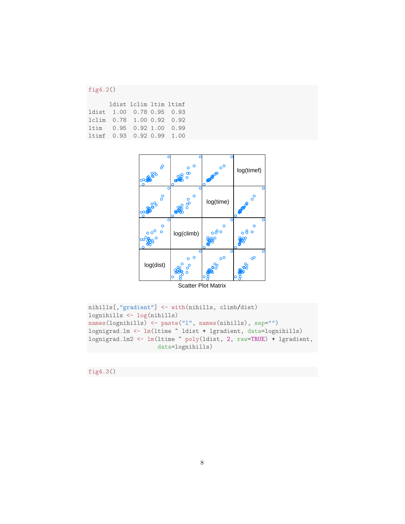### fig4.2()

|  | ldist 1clim 1tim 1timf    |  |
|--|---------------------------|--|
|  | ldist 1.00 0.78 0.95 0.93 |  |
|  | 1clim 0.78 1.00 0.92 0.92 |  |
|  | 1tim 0.95 0.92 1.00 0.99  |  |
|  | ltimf 0.93 0.92 0.99 1.00 |  |



```
nihills[,"gradient"] <- with(nihills, climb/dist)
lognihills <- log(nihills)
names(lognihills) <- paste("l", names(nihills), sep="")
lognigrad.lm <- lm(ltime ~ ldist + lgradient, data=lognihills)
lognigrad.lm2 <- lm(ltime ~ poly(ldist, 2, raw=TRUE) + lgradient,
                    data=lognihills)
```
fig4.3()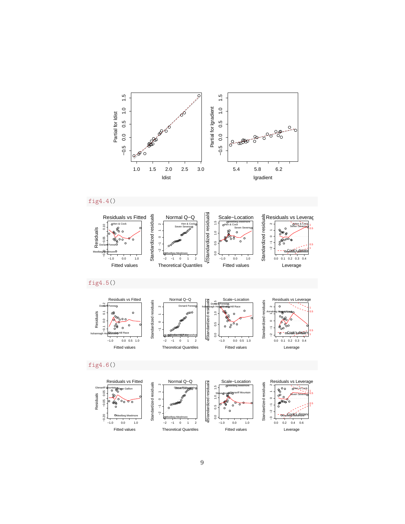





fig4.5()





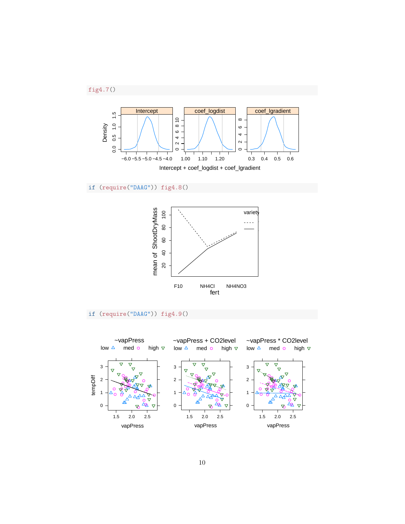



if (require("DAAG")) fig4.8()



### if (require("DAAG")) fig4.9()

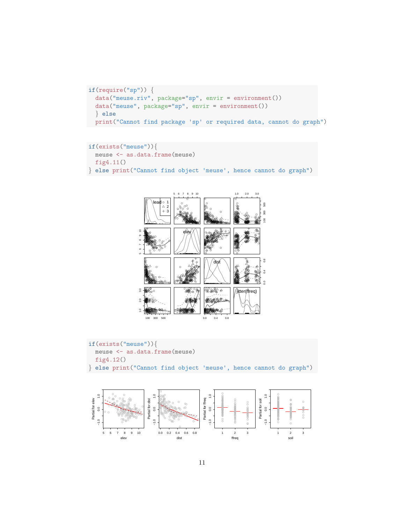```
if(require("sp")) {
  data("meuse.riv", package="sp", envir = environment())
  data("meuse", package="sp", envir = environment())
  } else
  print("Cannot find package 'sp' or required data, cannot do graph")
```

```
if(exists("meuse")){
  meuse <- as.data.frame(meuse)
  fig4.11()
} else print("Cannot find object 'meuse', hence cannot do graph")
```


```
if(exists("meuse")){
  meuse <- as.data.frame(meuse)
  fig4.12()
} else print("Cannot find object 'meuse', hence cannot do graph")
```
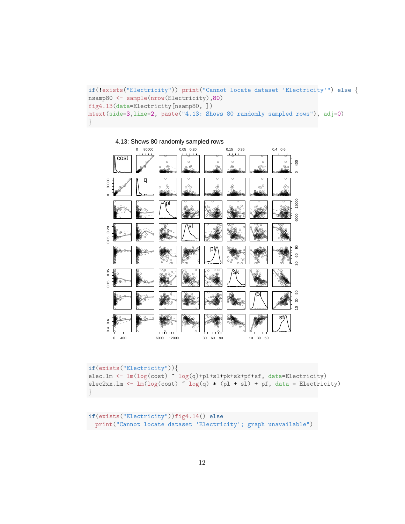```
if(!exists("Electricity")) print("Cannot locate dataset 'Electricity'") else {
nsamp80 <- sample(nrow(Electricity),80)
fig4.13(data=Electricity[nsamp80, ])
mtext(side=3,line=2, paste("4.13: Shows 80 randomly sampled rows"), adj=0)
}
```


```
if(exists("Electricity")){
elec.lm <- lm(log(cost) ~ log(q)+pl+sl+pk+sk+pf+sf, data=Electricity)
elec2xx.lm <- lm(log(cost) log(q) * (pl + sl) + pf, data = Electricity)
}
```

```
if(exists("Electricity"))fig4.14() else
print("Cannot locate dataset 'Electricity'; graph unavailable")
```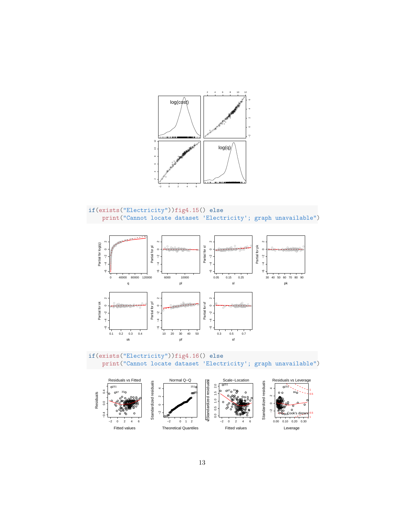

```
if(exists("Electricity"))fig4.15() else<br>print("Cannot locate dataset 'Electricity'; graph unavailable")
```


if(exists("Electricity"))fig4.16() else print ("Cannot locate dataset 'Electricity'; graph unavailable")